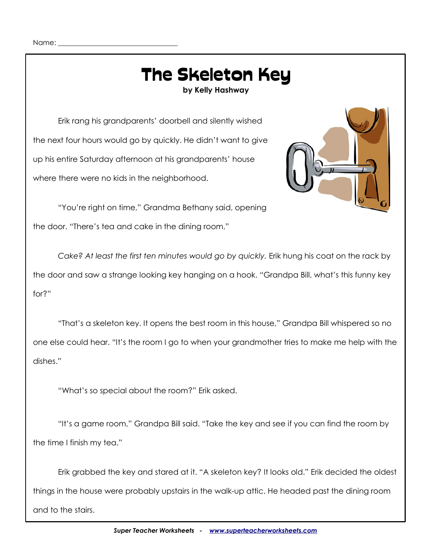# The Skeleton Key

**by Kelly Hashway**

Erik rang his grandparents' doorbell and silently wished the next four hours would go by quickly. He didn't want to give up his entire Saturday afternoon at his grandparents' house where there were no kids in the neighborhood.



"You're right on time," Grandma Bethany said, opening the door. "There's tea and cake in the dining room."

*Cake? At least the first ten minutes would go by quickly.* Erik hung his coat on the rack by the door and saw a strange looking key hanging on a hook. "Grandpa Bill, what's this funny key for?"

"That's a skeleton key. It opens the best room in this house," Grandpa Bill whispered so no one else could hear. "It's the room I go to when your grandmother tries to make me help with the dishes."

"What's so special about the room?" Erik asked.

"It's a game room," Grandpa Bill said. "Take the key and see if you can find the room by the time I finish my tea."

Erik grabbed the key and stared at it. "A skeleton key? It looks old." Erik decided the oldest things in the house were probably upstairs in the walk-up attic. He headed past the dining room and to the stairs.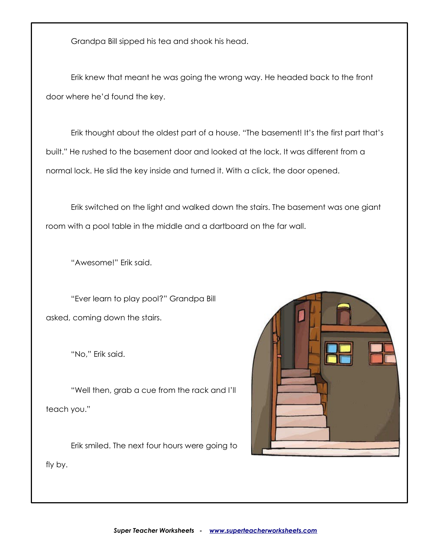Grandpa Bill sipped his tea and shook his head.

Erik knew that meant he was going the wrong way. He headed back to the front door where he'd found the key.

Erik thought about the oldest part of a house. "The basement! It's the first part that's built." He rushed to the basement door and looked at the lock. It was different from a normal lock. He slid the key inside and turned it. With a click, the door opened.

Erik switched on the light and walked down the stairs. The basement was one giant room with a pool table in the middle and a dartboard on the far wall.

"Awesome!" Erik said.

"Ever learn to play pool?" Grandpa Bill asked, coming down the stairs.

"No," Erik said.

"Well then, grab a cue from the rack and I'll teach you."

Erik smiled. The next four hours were going to



fly by.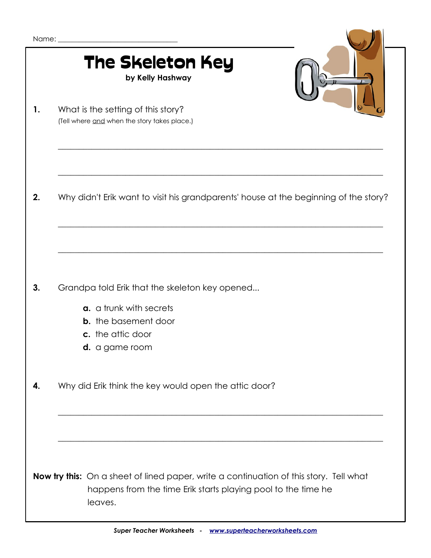|    | <b>The Skeleton Key</b><br>by Kelly Hashway                                                                                                                               |
|----|---------------------------------------------------------------------------------------------------------------------------------------------------------------------------|
| 1. | What is the setting of this story?<br>(Tell where and when the story takes place.)                                                                                        |
| 2. | Why didn't Erik want to visit his grandparents' house at the beginning of the story?                                                                                      |
| 3. | Grandpa told Erik that the skeleton key opened<br>a. a trunk with secrets<br><b>b.</b> the basement door<br>c. the attic door<br>d. a game room                           |
| 4. | Why did Erik think the key would open the attic door?                                                                                                                     |
|    | <b>Now try this:</b> On a sheet of lined paper, write a continuation of this story. Tell what<br>happens from the time Erik starts playing pool to the time he<br>leaves. |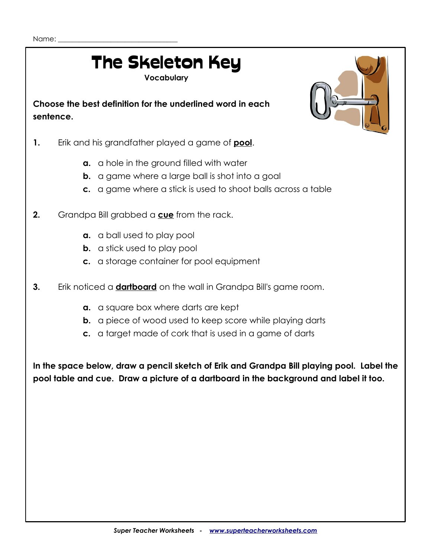## The Skeleton Key

**Vocabulary**

**Choose the best definition for the underlined word in each sentence.**

- **1.** Erik and his grandfather played a game of **pool**.
	- **a.** a hole in the ground filled with water
	- **b.** a game where a large ball is shot into a goal
	- **c.** a game where a stick is used to shoot balls across a table
- **2.** Grandpa Bill grabbed a **cue** from the rack.
	- **a.** a ball used to play pool
	- **b.** a stick used to play pool
	- **c.** a storage container for pool equipment
- **3.** Erik noticed a **dartboard** on the wall in Grandpa Bill's game room.
	- **a.** a square box where darts are kept
	- **b.** a piece of wood used to keep score while playing darts
	- **c.** a target made of cork that is used in a game of darts

**In the space below, draw a pencil sketch of Erik and Grandpa Bill playing pool. Label the pool table and cue. Draw a picture of a dartboard in the background and label it too.**

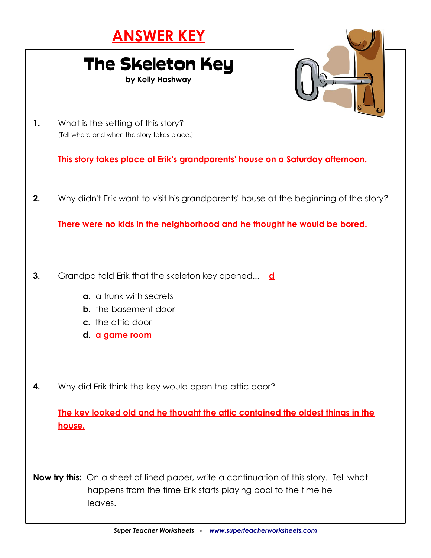#### **ANSWER KEY**

### The Skeleton Key

**by Kelly Hashway**



**1.** What is the setting of this story? (Tell where and when the story takes place.)

**This story takes place at Erik's grandparents' house on a Saturday afternoon.**

**2.** Why didn't Erik want to visit his grandparents' house at the beginning of the story?

**There were no kids in the neighborhood and he thought he would be bored.**

- **3.** Grandpa told Erik that the skeleton key opened... **d**
	- **a.** a trunk with secrets
	- **b.** the basement door
	- **c.** the attic door
	- **d. a game room**
- **4.** Why did Erik think the key would open the attic door?

**The key looked old and he thought the attic contained the oldest things in the house.**

**Now try this:** On a sheet of lined paper, write a continuation of this story. Tell what happens from the time Erik starts playing pool to the time he leaves.